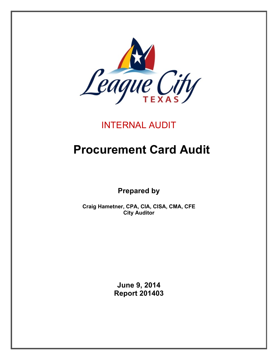

## INTERNAL AUDIT

# **Procurement Card Audit**

**Prepared by**

**Craig Hametner, CPA, CIA, CISA, CMA, CFE City Auditor**

> **June 9, 2014 Report 201403**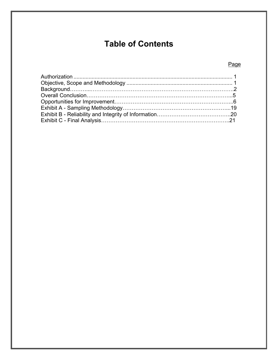## **Table of Contents**

## Page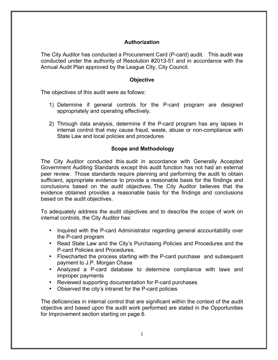## **Authorization**

The City Auditor has conducted a Procurement Card (P-card) audit. This audit was conducted under the authority of Resolution #2013-51 and in accordance with the Annual Audit Plan approved by the League City, City Council.

#### **Objective**

The objectives of this audit were as follows:

- 1) Determine if general controls for the P-card program are designed appropriately and operating effectively.
- 2) Through data analysis, determine if the P-card program has any lapses in internal control that may cause fraud, waste, abuse or non-compliance with State Law and local policies and procedures

## **Scope and Methodology**

The City Auditor conducted this audit in accordance with Generally Accepted Government Auditing Standards except this audit function has not had an external peer review. Those standards require planning and performing the audit to obtain sufficient, appropriate evidence to provide a reasonable basis for the findings and conclusions based on the audit objectives. The City Auditor believes that the evidence obtained provides a reasonable basis for the findings and conclusions based on the audit objectives.

To adequately address the audit objectives and to describe the scope of work on internal controls, the City Auditor has:

- Inquired with the P-card Administrator regarding general accountability over the P-card program
- Read State Law and the City's Purchasing Policies and Procedures and the P-card Policies and Procedures.
- Flowcharted the process starting with the P-card purchase and subsequent payment to J.P. Morgan Chase
- Analyzed a P-card database to determine compliance with laws and improper payments
- Reviewed supporting documentation for P-card purchases
- Observed the city's intranet for the P-card policies

The deficiencies in internal control that are significant within the context of the audit objective and based upon the audit work performed are stated in the Opportunities for Improvement section starting on page 6.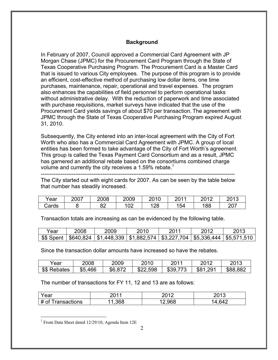## **Background**

In February of 2007, Council approved a Commercial Card Agreement with JP Morgan Chase (JPMC) for the Procurement Card Program through the State of Texas Cooperative Purchasing Program. The Procurement Card is a Master Card that is issued to various City employees. The purpose of this program is to provide an efficient, cost-effective method of purchasing low dollar items, one time purchases, maintenance, repair, operational and travel expenses. The program also enhances the capabilities of field personnel to perform operational tasks without administrative delay. With the reduction of paperwork and time associated with purchase requisitions, market surveys have indicated that the use of the Procurement Card yields savings of about \$70 per transaction. The agreement with JPMC through the State of Texas Cooperative Purchasing Program expired August 31, 2010.

Subsequently, the City entered into an inter-local agreement with the City of Fort Worth who also has a Commercial Card Agreement with JPMC. A group of local entities has been formed to take advantage of the City of Fort Worth's agreement. This group is called the Texas Payment Card Consortium and as a result, JPMC has garnered an additional rebate based on the consortiums combined charge volume and currently the city receives a 1.59% rebate.<sup>1</sup>

-----------------------------------------------------------------------------------------------------------

The City started out with eight cards for 2007. As can be seen by the table below that number has steadily increased.

| Year  | 2007 | 2008     | 2009 | 2010<br>1 U | nn 11<br>۷J | 2012 | つへィつ<br>∠∪ ເວ |
|-------|------|----------|------|-------------|-------------|------|---------------|
| Cards |      | ററ<br>◡∠ | 02   | 128         | 154         | 188  | 207           |

Transaction totals are increasing as can be evidenced by the following table.

| Year | 2008 | 2009                                                                                         | 2010 | 201 | 2012 | 2013 |
|------|------|----------------------------------------------------------------------------------------------|------|-----|------|------|
|      |      | \$\$ Spent   \$640,824   \$1,448,339   \$1,882,574   \$3,227,704   \$5,336,444   \$5,571,510 |      |     |      |      |

Since the transaction dollar amounts have increased so have the rebates.

| Year         | 2008    | 2009    | 2010     | 2011<br>∠∪  | 2012         | 2013     |
|--------------|---------|---------|----------|-------------|--------------|----------|
| \$\$ Rebates | \$5,466 | \$6,872 | \$22,598 | \$39<br>ララハ | .291<br>\$81 | \$88,882 |

The number of transactions for FY 11, 12 and 13 are as follows:

| Year                                                | nn 1 /<br>÷ | ∩ימר<br>-u    | ∩∩י<br>– ∪             |
|-----------------------------------------------------|-------------|---------------|------------------------|
| ~€<br>ransactions<br>$\bm{\pi}$<br>υı<br>$\bm{\pi}$ | 368         | .∠,968<br>. . | $\sim$ 10<br><b>54</b> |

 $1$  From Data Sheet dated 12/29/10, Agenda Item 12E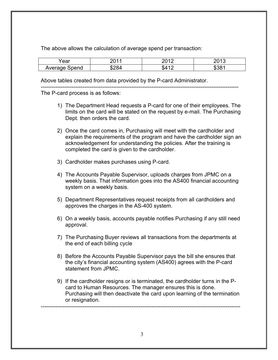The above allows the calculation of average spend per transaction:

| ∩∩∩<br>caı                    | $\sim$                                       | ∼ ו∩ר<br>- - | $\bigcap$         |
|-------------------------------|----------------------------------------------|--------------|-------------------|
| Average <sup>r</sup><br>Spend | $\ddot{\phantom{1}}$<br>m r<br>א×'<br>. ب ∠ە | æ<br>ൃ⊿ി     | mn n<br>- ה<br>.ה |

Above tables created from data provided by the P-card Administrator.

-------------------------------------------------------------------------------------------------------------

The P-card process is as follows:

- 1) The Department Head requests a P-card for one of their employees. The limits on the card will be stated on the request by e-mail. The Purchasing Dept. then orders the card.
- 2) Once the card comes in, Purchasing will meet with the cardholder and explain the requirements of the program and have the cardholder sign an acknowledgement for understanding the policies. After the training is completed the card is given to the cardholder.
- 3) Cardholder makes purchases using P-card.
- 4) The Accounts Payable Supervisor, uploads charges from JPMC on a weekly basis. That information goes into the AS400 financial accounting system on a weekly basis.
- 5) Department Representatives request receipts from all cardholders and approves the charges in the AS-400 system.
- 6) On a weekly basis, accounts payable notifies Purchasing if any still need approval.
- 7) The Purchasing Buyer reviews all transactions from the departments at the end of each billing cycle
- 8) Before the Accounts Payable Supervisor pays the bill she ensures that the city's financial accounting system (AS400) agrees with the P-card statement from JPMC.
- 9) If the cardholder resigns or is terminated, the cardholder turns in the Pcard to Human Resources. The manager ensures this is done. Purchasing will then deactivate the card upon learning of the termination or resignation.

--------------------------------------------------------------------------------------------------------------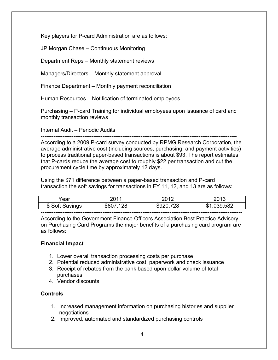Key players for P-card Administration are as follows:

JP Morgan Chase – Continuous Monitoring

Department Reps – Monthly statement reviews

Managers/Directors – Monthly statement approval

Finance Department – Monthly payment reconciliation

Human Resources – Notification of terminated employees

Purchasing – P-card Training for individual employees upon issuance of card and monthly transaction reviews

Internal Audit – Periodic Audits

------------------------------------------------------------------------------------------------------------ According to a 2009 P-card survey conducted by RPMG Research Corporation, the average administrative cost (including sources, purchasing, and payment activities) to process traditional paper-based transactions is about \$93. The report estimates that P-cards reduce the average cost to roughly \$22 per transaction and cut the procurement cycle time by approximately 12 days.

Using the \$71 difference between a paper-based transaction and P-card transaction the soft savings for transactions in FY 11, 12, and 13 are as follows:

| ∕ear | 14 م<br>⊥⊾ | ៱៱ | $\overline{a}$           |
|------|------------|----|--------------------------|
| æ    |            |    | $\overline{\phantom{a}}$ |
|      |            |    |                          |

According to the Government Finance Officers Association Best Practice Advisory on Purchasing Card Programs the major benefits of a purchasing card program are as follows:

## **Financial Impact**

- 1. Lower overall transaction processing costs per purchase
- 2. Potential reduced administrative cost, paperwork and check issuance
- 3. Receipt of rebates from the bank based upon dollar volume of total purchases
- 4. Vendor discounts

## **Controls**

- 1. Increased management information on purchasing histories and supplier negotiations
- 2. Improved, automated and standardized purchasing controls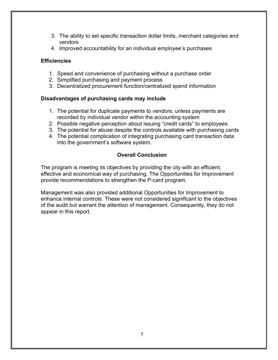- 3. The ability to set specific transaction dollar limits, merchant categories and vendors
- 4. Improved accountability for an individual employee's purchases

## **Efficiencies**

- 1. Speed and convenience of purchasing without a purchase order
- 2. Simplified purchasing and payment process
- 3. Decentralized procurement function/centralized spend information

## **Disadvantages of purchasing cards may include**

- 1. The potential for duplicate payments to vendors, unless payments are recorded by individual vendor within the accounting system
- 2. Possible negative perception about issuing "credit cards" to employees
- 3. The potential for abuse despite the controls available with purchasing cards
- 4. The potential complication of integrating purchasing card transaction data into the government's software system.

## **Overall Conclusion**

The program is meeting its objectives by providing the city with an efficient, effective and economical way of purchasing. The Opportunities for Improvement provide recommendations to strengthen the P-card program.

Management was also provided additional Opportunities for Improvement to enhance internal controls. These were not considered significant to the objectives of the audit but warrant the attention of management. Consequently, they do not appear in this report.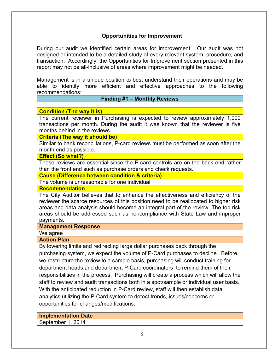## **Opportunities for Improvement**

During our audit we identified certain areas for improvement. Our audit was not designed or intended to be a detailed study of every relevant system, procedure, and transaction. Accordingly, the Opportunities for Improvement section presented in this report may not be all-inclusive of areas where improvement might be needed.

Management is in a unique position to best understand their operations and may be able to identify more efficient and effective approaches to the following recommendations:

#### **Finding #1 – Monthly Reviews**

**Condition (The way it is)**

The current reviewer in Purchasing is expected to review approximately 1,000 transactions per month. During the audit it was known that the reviewer is five months behind in the reviews.

**Criteria (The way it should be)**

Similar to bank reconciliations, P-card reviews must be performed as soon after the month end as possible.

#### **Effect (So what?)**

These reviews are essential since the P-card controls are on the back end rather than the front end such as purchase orders and check requests.

**Cause (Difference between condition & criteria)**

The volume is unreasonable for one individual

**Recommendation**

The City Auditor believes that to enhance the effectiveness and efficiency of the reviewer the scarce resources of this position need to be reallocated to higher risk areas and data analysis should become an integral part of the review. The top risk areas should be addressed such as noncompliance with State Law and improper payments.

#### **Management Response**

We agree

#### **Action Plan**

By lowering limits and redirecting large dollar purchases back through the purchasing system, we expect the volume of P-Card purchases to decline. Before we restructure the review to a sample basis, purchasing will conduct training for department heads and department P-Card coordinators to remind them of their responsibilities in the process. Purchasing will create a process which will allow the staff to review and audit transactions both in a spot/sample or individual user basis. With the anticipated reduction in P-Card review, staff will then establish data analytics utilizing the P-Card system to detect trends, issues/concerns or opportunities for changes/modifications.

#### **Implementation Date**

September 1, 2014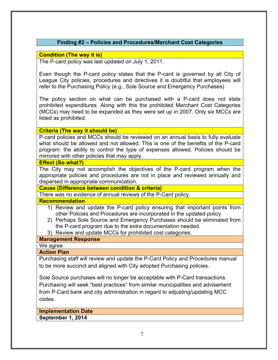## **Finding #2 – Policies and Procedures/Merchant Cost Categories**

## **Condition (The way it is)**

The P-card policy was last updated on July 1, 2011.

Even though the P-card policy states that the P-card is governed by all City of League City policies, procedures and directives it is doubtful that employees will refer to the Purchasing Policy (e.g., Sole Source and Emergency Purchases)

The policy section on what can be purchased with a P-card does not state prohibited expenditures. Along with this the prohibited Merchant Cost Categories (MCCs) may need to be expanded as they were set up in 2007. Only six MCCs are listed as prohibited.

## **Criteria (The way it should be)**

P-card policies and MCCs should be reviewed on an annual basis to fully evaluate what should be allowed and not allowed. This is one of the benefits of the P-card program: the ability to control the type of expenses allowed. Policies should be mirrored with other policies that may apply.

#### **Effect (So what?)**

The City may not accomplish the objectives of the P-card program when the appropriate policies and procedures are not in place and reviewed annually and dispersed in appropriate communication.

#### **Cause (Difference between condition & criteria)**

There was no evidence of annual reviews of the P-Card policy.

## **Recommendation**

- 1) Review and update the P-card policy ensuring that important points from other Policies and Procedures are incorporated in the updated policy.
- 2) Perhaps Sole Source and Emergency Purchases should be eliminated from the P-card program due to the extra documentation needed.
- 3) Review and update MCCs for prohibited cost categories.

## **Management Response**

We agree

## **Action Plan**

Purchasing staff will review and update the P-Card Policy and Procedures manual to be more succinct and aligned with City adopted Purchasing policies.

Sole Source purchases will no longer be acceptable with P-Card transactions. Purchasing will seek "best practices" from similar municipalities and advisement from P-Card bank and city administration in regard to adjusting/updating MCC codes. 

**Implementation Date September 1, 2014**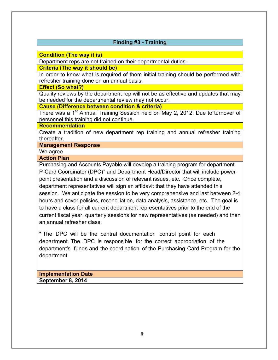## **Finding #3 - Training**

**Condition (The way it is)**

Department reps are not trained on their departmental duties.

**Criteria (The way it should be)**

In order to know what is required of them initial training should be performed with refresher training done on an annual basis.

**Effect (So what?)**

Quality reviews by the department rep will not be as effective and updates that may be needed for the departmental review may not occur.

**Cause (Difference between condition & criteria)**

There was a 1<sup>st</sup> Annual Training Session held on May 2, 2012. Due to turnover of personnel this training did not continue.

#### **Recommendation**

Create a tradition of new department rep training and annual refresher training thereafter.

**Management Response**

We agree

**Action Plan** Purchasing and Accounts Payable will develop a training program for department P-Card Coordinator (DPC)\* and Department Head/Director that will include powerpoint presentation and a discussion of relevant issues, etc. Once complete, department representatives will sign an affidavit that they have attended this session. We anticipate the session to be very comprehensive and last between 2-4 hours and cover policies, reconciliation, data analysis, assistance, etc. The goal is to have a class for all current department representatives prior to the end of the current fiscal year, quarterly sessions for new representatives (as needed) and then an annual refresher class.

\* The DPC will be the central documentation control point for each department. The DPC is responsible for the correct appropriation of the department's funds and the coordination of the Purchasing Card Program for the department

#### **Implementation Date September 8, 2014**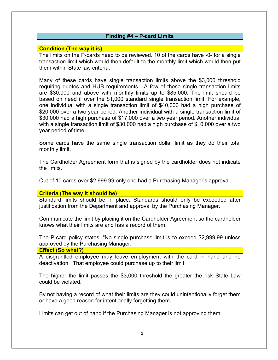## **Finding #4 – P-card Limits**

## **Condition (The way it is)**

The limits on the P-cards need to be reviewed. 10 of the cards have -0- for a single transaction limit which would then default to the monthly limit which would then put them within State law criteria.

Many of these cards have single transaction limits above the \$3,000 threshold requiring quotes and HUB requirements. A few of these single transaction limits are \$30,000 and above with monthly limits up to \$85,000. The limit should be based on need if over the \$1,000 standard single transaction limit. For example, one individual with a single transaction limit of \$40,000 had a high purchase of \$20,000 over a two year period. Another individual with a single transaction limit of \$30,000 had a high purchase of \$17,000 over a two year period. Another individual with a single transaction limit of \$30,000 had a high purchase of \$10,000 over a two year period of time.

Some cards have the same single transaction dollar limit as they do their total monthly limit.

The Cardholder Agreement form that is signed by the cardholder does not indicate the limits.

Out of 10 cards over \$2,999.99 only one had a Purchasing Manager's approval.

**Criteria (The way it should be)**

Standard limits should be in place. Standards should only be exceeded after justification from the Department and approval by the Purchasing Manager.

Communicate the limit by placing it on the Cardholder Agreement so the cardholder knows what their limits are and has a record of them.

The P-card policy states, "No single purchase limit is to exceed \$2,999.99 unless approved by the Purchasing Manager."

**Effect (So what?)**

A disgruntled employee may leave employment with the card in hand and no deactivation. That employee could purchase up to their limit.

The higher the limit passes the \$3,000 threshold the greater the risk State Law could be violated.

By not having a record of what their limits are they could unintentionally forget them or have a good reason for intentionally forgetting them.

Limits can get out of hand if the Purchasing Manager is not approving them.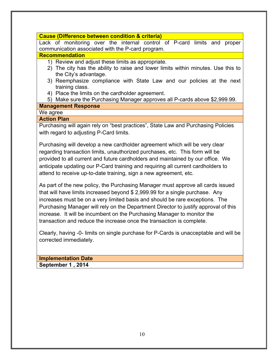## **Cause (Difference between condition & criteria)**

Lack of monitoring over the internal control of P-card limits and proper communication associated with the P-card program.

#### **Recommendation**

- 1) Review and adjust these limits as appropriate.
- 2) The city has the ability to raise and lower limits within minutes. Use this to the City's advantage.
- 3) Reemphasize compliance with State Law and our policies at the next training class.
- 4) Place the limits on the cardholder agreement.
- 5) Make sure the Purchasing Manager approves all P-cards above \$2,999.99.

## **Management Response**

## We agree

## **Action Plan**

Purchasing will again rely on "best practices", State Law and Purchasing Policies with regard to adjusting P-Card limits.

Purchasing will develop a new cardholder agreement which will be very clear regarding transaction limits, unauthorized purchases, etc. This form will be provided to all current and future cardholders and maintained by our office. We anticipate updating our P-Card training and requiring all current cardholders to attend to receive up-to-date training, sign a new agreement, etc.

As part of the new policy, the Purchasing Manager must approve all cards issued that will have limits increased beyond \$ 2,999.99 for a single purchase. Any increases must be on a very limited basis and should be rare exceptions. The Purchasing Manager will rely on the Department Director to justify approval of this increase. It will be incumbent on the Purchasing Manager to monitor the transaction and reduce the increase once the transaction is complete.

Clearly, having -0- limits on single purchase for P-Cards is unacceptable and will be corrected immediately.

**Implementation Date September 1 , 2014**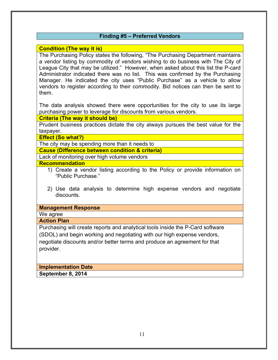## **Finding #5 – Preferred Vendors**

## **Condition (The way it is)**

The Purchasing Policy states the following, "The Purchasing Department maintains a vendor listing by commodity of vendors wishing to do business with The City of League City that may be utilized." However, when asked about this list the P-card Administrator indicated there was no list. This was confirmed by the Purchasing Manager. He indicated the city uses "Public Purchase" as a vehicle to allow vendors to register according to their commodity. Bid notices can then be sent to them.

The data analysis showed there were opportunities for the city to use its large purchasing power to leverage for discounts from various vendors.

**Criteria (The way it should be)**

Prudent business practices dictate the city always pursues the best value for the taxpayer.

**Effect (So what?)**

The city may be spending more than it needs to

**Cause (Difference between condition & criteria)**

Lack of monitoring over high volume vendors

**Recommendation**

- 1) Create a vendor listing according to the Policy or provide information on "Public Purchase."
- 2) Use data analysis to determine high expense vendors and negotiate discounts.

#### **Management Response**

We agree

## **Action Plan**

Purchasing will create reports and analytical tools inside the P-Card software (SDOL) and begin working and negotiating with our high expense vendors, negotiate discounts and/or better terms and produce an agreement for that provider.

**Implementation Date September 8, 2014**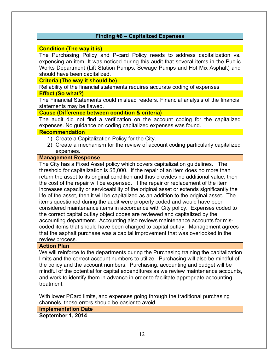## **Finding #6 – Capitalized Expenses**

#### **Condition (The way it is)**

The Purchasing Policy and P-card Policy needs to address capitalization vs. expensing an item. It was noticed during this audit that several items in the Public Works Department (Lift Station Pumps, Sewage Pumps and Hot Mix Asphalt) and should have been capitalized.

**Criteria (The way it should be)**

Reliability of the financial statements requires accurate coding of expenses **Effect (So what?)**

The Financial Statements could mislead readers. Financial analysis of the financial statements may be flawed.

#### **Cause (Difference between condition & criteria)**

The audit did not find a verification on the account coding for the capitalized expenses. No guidance on coding capitalized expenses was found.

#### **Recommendation**

- 1) Create a Capitalization Policy for the City.
- 2) Create a mechanism for the review of account coding particularly capitalized expenses.

#### **Management Response**

The City has a Fixed Asset policy which covers capitalization guidelines. The threshold for capitalization is \$5,000. If the repair of an item does no more than return the asset to its original condition and thus provides no additional value, then the cost of the repair will be expensed. If the repair or replacement of the item increases capacity or serviceability of the original asset or extends significantly the life of the asset, then it will be capitalized as an addition to the original asset. The items questioned during the audit were properly coded and would have been considered maintenance items in accordance with City policy. Expenses coded to the correct capital outlay object codes are reviewed and capitalized by the accounting department. Accounting also reviews maintenance accounts for miscoded items that should have been charged to capital outlay. Management agrees that the asphalt purchase was a capital improvement that was overlooked in the review process.

#### **Action Plan**

We will reinforce to the departments during the Purchasing training the capitalization limits and the correct account numbers to utilize. Purchasing will also be mindful of the policy and the account numbers. Purchasing, accounting and budget will be mindful of the potential for capital expenditures as we review maintenance accounts, and work to identify them in advance in order to facilitate appropriate accounting treatment.

With lower PCard limits, and expenses going through the traditional purchasing channels, these errors should be easier to avoid.

**Implementation Date**

**September 1, 2014**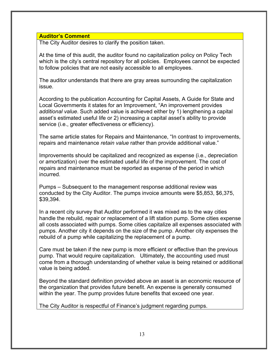## **Auditor's Comment**

The City Auditor desires to clarify the position taken.

At the time of this audit, the auditor found no capitalization policy on Policy Tech which is the city's central repository for all policies. Employees cannot be expected to follow policies that are not easily accessible to all employees.

The auditor understands that there are gray areas surrounding the capitalization issue.

According to the publication Accounting for Capital Assets, A Guide for State and Local Governments it states for an Improvement, "An improvement provides *additional value*. Such added value is achieved either by 1) lengthening a capital asset's estimated useful life or 2) increasing a capital asset's ability to provide service (i.e., greater effectiveness or efficiency).

The same article states for Repairs and Maintenance, "In contrast to improvements, repairs and maintenance *retain value* rather than provide additional value."

Improvements should be capitalized and recognized as expense (i.e., depreciation or amortization) over the estimated useful life of the improvement. The cost of repairs and maintenance must be reported as expense of the period in which incurred.

Pumps – Subsequent to the management response additional review was conducted by the City Auditor. The pumps invoice amounts were \$5,853, \$6,375, \$39,394.

In a recent city survey that Auditor performed it was mixed as to the way cities handle the rebuild, repair or replacement of a lift station pump. Some cities expense all costs associated with pumps. Some cities capitalize all expenses associated with pumps. Another city it depends on the size of the pump. Another city expenses the rebuild of a pump while capitalizing the replacement of a pump.

Care must be taken if the new pump is more efficient or effective than the previous pump. That would require capitalization. Ultimately, the accounting used must come from a thorough understanding of whether value is being retained or additional value is being added.

Beyond the standard definition provided above an asset is an economic resource of the organization that provides future benefit. An expense is generally consumed within the year. The pump provides future benefits that exceed one year.

The City Auditor is respectful of Finance's judgment regarding pumps.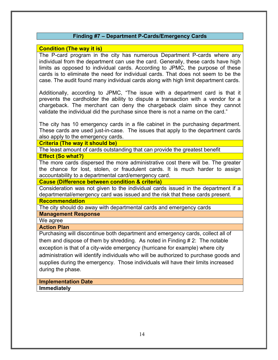## **Finding #7 – Department P-Cards/Emergency Cards**

## **Condition (The way it is)**

The P-card program in the city has numerous Department P-cards where any individual from the department can use the card. Generally, these cards have high limits as opposed to individual cards. According to JPMC, the purpose of these cards is to eliminate the need for individual cards. That does not seem to be the case. The audit found many individual cards along with high limit department cards.

Additionally, according to JPMC, "The issue with a department card is that it prevents the cardholder the ability to dispute a transaction with a vendor for a chargeback. The merchant can deny the chargeback claim since they cannot validate the individual did the purchase since there is not a name on the card."

The city has 10 emergency cards in a file cabinet in the purchasing department. These cards are used just-in-case. The issues that apply to the department cards also apply to the emergency cards.

#### **Criteria (The way it should be)**

The least amount of cards outstanding that can provide the greatest benefit

#### **Effect (So what?)**

The more cards dispersed the more administrative cost there will be. The greater the chance for lost, stolen, or fraudulent cards. It is much harder to assign accountability to a departmental card/emergency card.

#### **Cause (Difference between condition & criteria)**

Consideration was not given to the individual cards issued in the department if a departmental/emergency card was issued and the risk that these cards present.

#### **Recommendation**

The city should do away with departmental cards and emergency cards

## **Management Response**

We agree

#### **Action Plan**

Purchasing will discontinue both department and emergency cards, collect all of them and dispose of them by shredding. As noted in Finding # 2: The notable exception is that of a city-wide emergency (hurricane for example) where city administration will identify individuals who will be authorized to purchase goods and supplies during the emergency. Those individuals will have their limits increased during the phase.

## **Implementation Date**

**Immediately**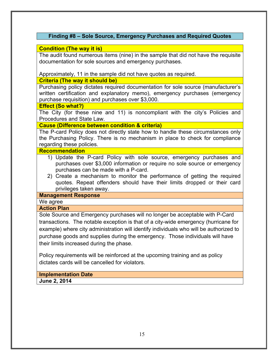## **Finding #8 – Sole Source, Emergency Purchases and Required Quotes**

## **Condition (The way it is)**

The audit found numerous items (nine) in the sample that did not have the requisite documentation for sole sources and emergency purchases.

Approximately, 11 in the sample did not have quotes as required.

**Criteria (The way it should be)**

Purchasing policy dictates required documentation for sole source (manufacturer's written certification and explanatory memo), emergency purchases (emergency purchase requisition) and purchases over \$3,000.

#### **Effect (So what?)**

The City (for these nine and 11) is noncompliant with the city's Policies and Procedures and State Law.

## **Cause (Difference between condition & criteria)**

The P-card Policy does not directly state how to handle these circumstances only the Purchasing Policy. There is no mechanism in place to check for compliance regarding these policies.

#### **Recommendation**

- 1) Update the P-card Policy with sole source, emergency purchases and purchases over \$3,000 information or require no sole source or emergency purchases can be made with a P-card.
- 2) Create a mechanism to monitor the performance of getting the required quotes. Repeat offenders should have their limits dropped or their card privileges taken away.

## **Management Response**

We agree

#### **Action Plan**

Sole Source and Emergency purchases will no longer be acceptable with P-Card transactions. The notable exception is that of a city-wide emergency (hurricane for example) where city administration will identify individuals who will be authorized to purchase goods and supplies during the emergency. Those individuals will have their limits increased during the phase.

Policy requirements will be reinforced at the upcoming training and as policy dictates cards will be cancelled for violators.

**Implementation Date June 2, 2014**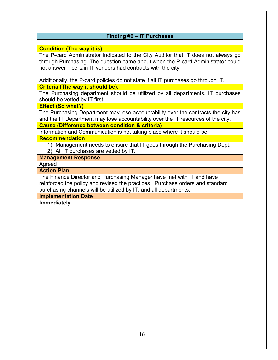## **Finding #9 – IT Purchases**

## **Condition (The way it is)**

The P-card Administrator indicated to the City Auditor that IT does not always go through Purchasing. The question came about when the P-card Administrator could not answer if certain IT vendors had contracts with the city.

Additionally, the P-card policies do not state if all IT purchases go through IT.

## **Criteria (The way it should be).**

The Purchasing department should be utilized by all departments. IT purchases should be vetted by IT first.

**Effect (So what?)**

The Purchasing Department may lose accountability over the contracts the city has and the IT Department may lose accountability over the IT resources of the city.

## **Cause (Difference between condition & criteria)**

Information and Communication is not taking place where it should be. **Recommendation**

- 1) Management needs to ensure that IT goes through the Purchasing Dept. 2) All IT purchases are vetted by IT.
- **Management Response**

Agreed

**Action Plan**

The Finance Director and Purchasing Manager have met with IT and have reinforced the policy and revised the practices. Purchase orders and standard purchasing channels will be utilized by IT, and all departments.

**Implementation Date**

**Immediately**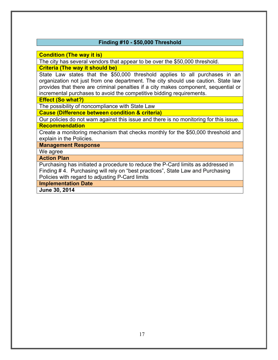## **Finding #10 - \$50,000 Threshold**

**Condition (The way it is)**

The city has several vendors that appear to be over the \$50,000 threshold.

**Criteria (The way it should be)**

State Law states that the \$50,000 threshold applies to all purchases in an organization not just from one department. The city should use caution. State law provides that there are criminal penalties if a city makes component, sequential or incremental purchases to avoid the competitive bidding requirements.

**Effect (So what?)**

The possibility of noncompliance with State Law

**Cause (Difference between condition & criteria)**

Our policies do not warn against this issue and there is no monitoring for this issue. **Recommendation**

Create a monitoring mechanism that checks monthly for the \$50,000 threshold and explain in the Policies.

**Management Response**

We agree

**Action Plan**

Purchasing has initiated a procedure to reduce the P-Card limits as addressed in Finding # 4. Purchasing will rely on "best practices", State Law and Purchasing Policies with regard to adjusting P-Card limits

**Implementation Date**

**June 30, 2014**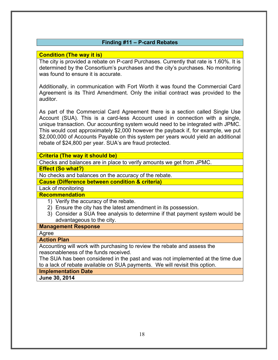## **Finding #11 – P-card Rebates**

## **Condition (The way it is)**

The city is provided a rebate on P-card Purchases. Currently that rate is 1.60%. It is determined by the Consortium's purchases and the city's purchases. No monitoring was found to ensure it is accurate.

Additionally, in communication with Fort Worth it was found the Commercial Card Agreement is its Third Amendment. Only the initial contract was provided to the auditor.

As part of the Commercial Card Agreement there is a section called Single Use Account (SUA). This is a card-less Account used in connection with a single, unique transaction. Our accounting system would need to be integrated with JPMC. This would cost approximately \$2,000 however the payback if, for example, we put \$2,000,000 of Accounts Payable on this system per years would yield an additional rebate of \$24,800 per year. SUA's are fraud protected.

#### **Criteria (The way it should be)**

Checks and balances are in place to verify amounts we get from JPMC.

**Effect (So what?)**

No checks and balances on the accuracy of the rebate.

**Cause (Difference between condition & criteria)**

Lack of monitoring

#### **Recommendation**

- 1) Verify the accuracy of the rebate.
- 2) Ensure the city has the latest amendment in its possession.
- 3) Consider a SUA free analysis to determine if that payment system would be advantageous to the city.

#### **Management Response**

Agree

#### **Action Plan**

Accounting will work with purchasing to review the rebate and assess the reasonableness of the funds received.

The SUA has been considered in the past and was not implemented at the time due to a lack of rebate available on SUA payments. We will revisit this option.

**Implementation Date**

**June 30, 2014**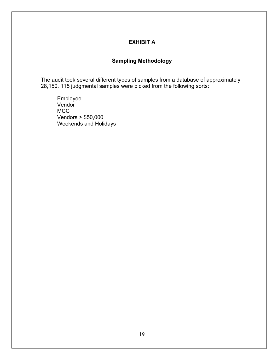## **EXHIBIT A**

## **Sampling Methodology**

The audit took several different types of samples from a database of approximately 28,150. 115 judgmental samples were picked from the following sorts:

Employee Vendor MCC Vendors > \$50,000 Weekends and Holidays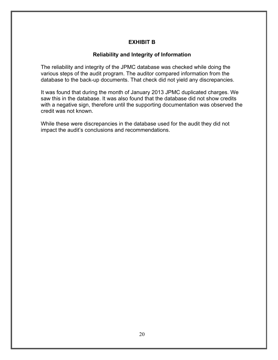## **EXHIBIT B**

## **Reliability and Integrity of Information**

The reliability and integrity of the JPMC database was checked while doing the various steps of the audit program. The auditor compared information from the database to the back-up documents. That check did not yield any discrepancies.

It was found that during the month of January 2013 JPMC duplicated charges. We saw this in the database. It was also found that the database did not show credits with a negative sign, therefore until the supporting documentation was observed the credit was not known.

While these were discrepancies in the database used for the audit they did not impact the audit's conclusions and recommendations.